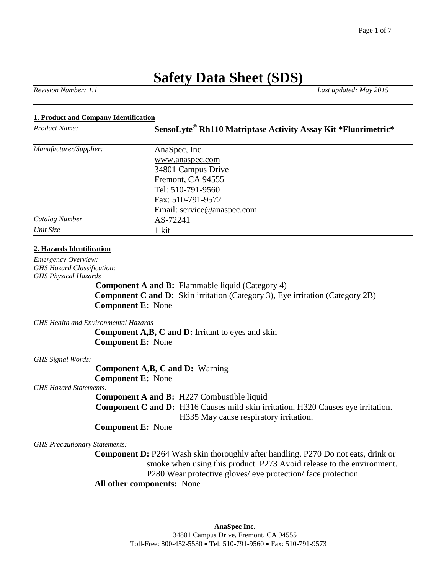# **Safety Data Sheet (SDS)**

| <b>Revision Number:</b><br><b>1.1</b> | Last updated: May 2015 |
|---------------------------------------|------------------------|
|                                       |                        |

#### **1. Product and Company Identification**

| <b>Product Name:</b>   | SensoLyte® Rh110 Matriptase Activity Assay Kit *Fluorimetric* |
|------------------------|---------------------------------------------------------------|
| Manufacturer/Supplier: | AnaSpec, Inc.                                                 |
|                        | www.anaspec.com                                               |
|                        | 34801 Campus Drive                                            |
|                        | Fremont, CA 94555                                             |
|                        | Tel: 510-791-9560                                             |
|                        | Fax: 510-791-9572                                             |
|                        | Email: service@anaspec.com                                    |
| <b>Catalog Number</b>  | AS-72241                                                      |
| Unit Size              | 1 kit                                                         |

#### **2. Hazards Identification**

*Emergency Overview: GHS Hazard Classification: GHS Physical Hazards* 

> **Component A and B:** Flammable liquid (Category 4) **Component C and D:** Skin irritation (Category 3), Eye irritation (Category 2B) **Component E:** None

*GHS Health and Environmental Hazards*

**Component A,B, C and D:** Irritant to eyes and skin **Component E:** None

*GHS Signal Words:*

**Component A,B, C and D:** Warning

**Component E:** None

*GHS Hazard Statements:*

 **Component A and B:** H227 Combustible liquid **Component C and D:** H316 Causes mild skin irritation, H320 Causes eye irritation. H335 May cause respiratory irritation.

 **Component E:** None

*GHS Precautionary Statements:*

 **Component D:** P264 Wash skin thoroughly after handling. P270 Do not eats, drink or smoke when using this product. P273 Avoid release to the environment. P280 Wear protective gloves/ eye protection/ face protection **All other components:** None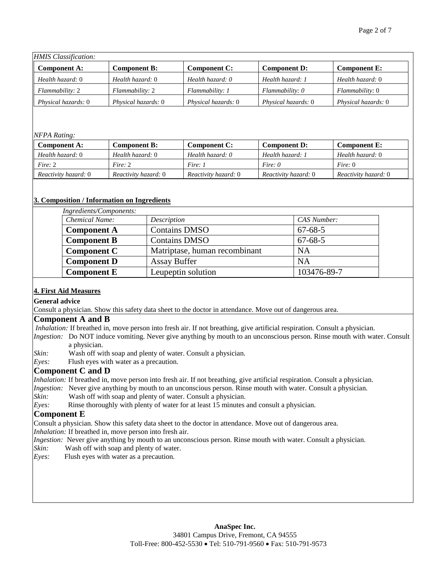| <b>HMIS</b> Classification: |                            |                     |                     |                     |
|-----------------------------|----------------------------|---------------------|---------------------|---------------------|
| <b>Component A:</b>         | <b>Component B:</b>        | <b>Component C:</b> | <b>Component D:</b> | <b>Component E:</b> |
| Health hazard: 0            | Health hazard: 0           | Health hazard: 0    | Health hazard: 1    | Health hazard: 0    |
| Flammability: 2             | Flammability: 2            | Flammability: 1     | Flammability: 0     | Flammability: 0     |
| Physical hazards: 0         | <i>Physical hazards:</i> 0 | Physical hazards: 0 | Physical hazards: 0 | Physical hazards: 0 |

#### *NFPA Rating:*

| Component A:                | Component B:                | Component C:                | <b>Component D:</b>         | Component E:         |
|-----------------------------|-----------------------------|-----------------------------|-----------------------------|----------------------|
| Health hazard: 0            | Health hazard: 0            | Health hazard: 0            | Health hazard: 1            | Health hazard: 0     |
| Fire: 2                     | Fire: 2                     | Fire: 1                     | Fire: $\theta$              | Fire: $0$            |
| <i>Reactivity hazard:</i> 0 | <i>Reactivity hazard:</i> 0 | <i>Reactivity hazard:</i> 0 | <i>Reactivity hazard:</i> 0 | Reactivity hazard: 0 |

#### **3. Composition / Information on Ingredients**

| Chemical Name:     | Description                   | CAS Number:   |
|--------------------|-------------------------------|---------------|
| <b>Component A</b> | <b>Contains DMSO</b>          | $67 - 68 - 5$ |
| <b>Component B</b> | <b>Contains DMSO</b>          | $67 - 68 - 5$ |
| <b>Component C</b> | Matriptase, human recombinant | <b>NA</b>     |
| <b>Component D</b> | <b>Assay Buffer</b>           | <b>NA</b>     |
| <b>Component E</b> | Leupeptin solution            | 103476-89-7   |

### **4. First Aid Measures**

**General advice**

Consult a physician. Show this safety data sheet to the doctor in attendance. Move out of dangerous area.

#### **Component A and B**

*Inhalation:* If breathed in, move person into fresh air. If not breathing, give artificial respiration. Consult a physician.

- *Ingestion:* Do NOT induce vomiting. Never give anything by mouth to an unconscious person. Rinse mouth with water. Consult a physician.
- *Skin:* Wash off with soap and plenty of water. Consult a physician.
- *Eyes:* Flush eyes with water as a precaution.

#### **Component C and D**

- *Inhalation:* If breathed in, move person into fresh air. If not breathing, give artificial respiration. Consult a physician.
- *Ingestion:* Never give anything by mouth to an unconscious person. Rinse mouth with water. Consult a physician.
- *Skin:* Wash off with soap and plenty of water. Consult a physician.
- *Eyes:* Rinse thoroughly with plenty of water for at least 15 minutes and consult a physician.

## **Component E**

Consult a physician. Show this safety data sheet to the doctor in attendance. Move out of dangerous area.

- *Inhalation:* If breathed in, move person into fresh air.
- *Ingestion:* Never give anything by mouth to an unconscious person. Rinse mouth with water. Consult a physician.
- *Skin:*Wash off with soap and plenty of water.
- *Eyes:*Flush eyes with water as a precaution.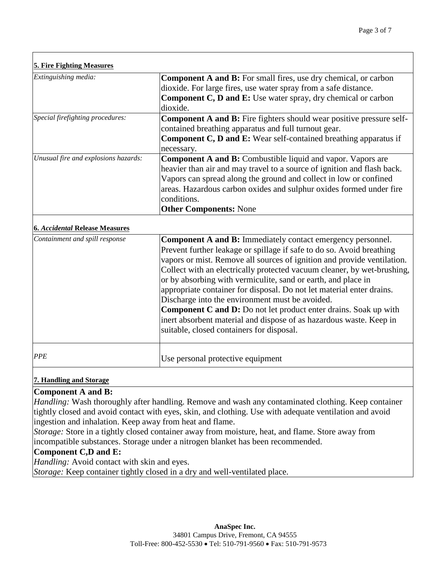| <b>5. Fire Fighting Measures</b>     |                                                                             |
|--------------------------------------|-----------------------------------------------------------------------------|
| Extinguishing media:                 | <b>Component A and B:</b> For small fires, use dry chemical, or carbon      |
|                                      | dioxide. For large fires, use water spray from a safe distance.             |
|                                      | <b>Component C, D and E:</b> Use water spray, dry chemical or carbon        |
|                                      | dioxide.                                                                    |
| Special firefighting procedures:     | <b>Component A and B:</b> Fire fighters should wear positive pressure self- |
|                                      | contained breathing apparatus and full turnout gear.                        |
|                                      | <b>Component C, D and E:</b> Wear self-contained breathing apparatus if     |
|                                      | necessary.                                                                  |
| Unusual fire and explosions hazards: | <b>Component A and B:</b> Combustible liquid and vapor. Vapors are          |
|                                      | heavier than air and may travel to a source of ignition and flash back.     |
|                                      | Vapors can spread along the ground and collect in low or confined           |
|                                      | areas. Hazardous carbon oxides and sulphur oxides formed under fire         |
|                                      | conditions.                                                                 |
|                                      | <b>Other Components: None</b>                                               |

# **6.** *Accidental* **Release Measures**

| Containment and spill response | <b>Component A and B:</b> Immediately contact emergency personnel.<br>Prevent further leakage or spillage if safe to do so. Avoid breathing<br>vapors or mist. Remove all sources of ignition and provide ventilation.<br>Collect with an electrically protected vacuum cleaner, by wet-brushing,<br>or by absorbing with vermiculite, sand or earth, and place in<br>appropriate container for disposal. Do not let material enter drains.<br>Discharge into the environment must be avoided.<br><b>Component C and D:</b> Do not let product enter drains. Soak up with<br>inert absorbent material and dispose of as hazardous waste. Keep in<br>suitable, closed containers for disposal. |
|--------------------------------|-----------------------------------------------------------------------------------------------------------------------------------------------------------------------------------------------------------------------------------------------------------------------------------------------------------------------------------------------------------------------------------------------------------------------------------------------------------------------------------------------------------------------------------------------------------------------------------------------------------------------------------------------------------------------------------------------|
| <b>PPE</b>                     | Use personal protective equipment                                                                                                                                                                                                                                                                                                                                                                                                                                                                                                                                                                                                                                                             |

# **7. Handling and Storage**

# **Component A and B:**

*Handling:* Wash thoroughly after handling. Remove and wash any contaminated clothing. Keep container tightly closed and avoid contact with eyes, skin, and clothing. Use with adequate ventilation and avoid ingestion and inhalation. Keep away from heat and flame.

*Storage:* Store in a tightly closed container away from moisture, heat, and flame. Store away from incompatible substances. Storage under a nitrogen blanket has been recommended.

# **Component C,D and E:**

*Handling:* Avoid contact with skin and eyes.

*Storage:* Keep container tightly closed in a dry and well-ventilated place.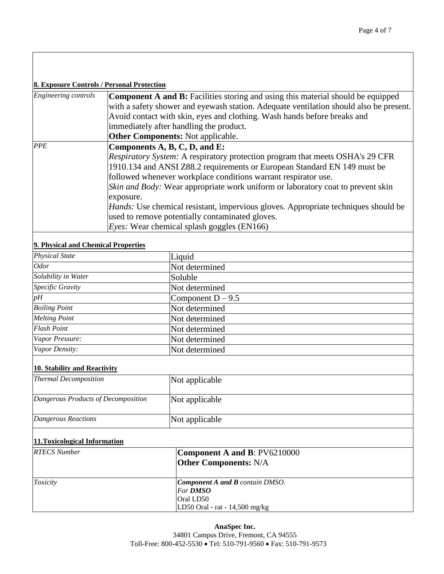#### **8. Exposure Controls / Personal Protection**

| Engineering controls | <b>Component A and B:</b> Facilities storing and using this material should be equipped<br>with a safety shower and eyewash station. Adequate ventilation should also be present. |
|----------------------|-----------------------------------------------------------------------------------------------------------------------------------------------------------------------------------|
|                      | Avoid contact with skin, eyes and clothing. Wash hands before breaks and                                                                                                          |
|                      | immediately after handling the product.                                                                                                                                           |
|                      | <b>Other Components:</b> Not applicable.                                                                                                                                          |
| PPE                  | Components A, B, C, D, and E:                                                                                                                                                     |
|                      | Respiratory System: A respiratory protection program that meets OSHA's 29 CFR                                                                                                     |
|                      | 1910.134 and ANSI Z88.2 requirements or European Standard EN 149 must be                                                                                                          |
|                      | followed whenever workplace conditions warrant respirator use.                                                                                                                    |
|                      | <i>Skin and Body:</i> Wear appropriate work uniform or laboratory coat to prevent skin                                                                                            |
|                      | exposure.                                                                                                                                                                         |
|                      | <i>Hands:</i> Use chemical resistant, impervious gloves. Appropriate techniques should be                                                                                         |
|                      | used to remove potentially contaminated gloves.                                                                                                                                   |
|                      | <i>Eyes:</i> Wear chemical splash goggles (EN166)                                                                                                                                 |
|                      |                                                                                                                                                                                   |

# **9. Physical and Chemical Properties**

| Liquid              |  |
|---------------------|--|
| Not determined      |  |
| Soluble             |  |
| Not determined      |  |
| Component $D - 9.5$ |  |
| Not determined      |  |
| Not determined      |  |
| Not determined      |  |
| Not determined      |  |
| Not determined      |  |
|                     |  |

# **10. Stability and Reactivity**

| <b>Thermal Decomposition</b>        | Not applicable |
|-------------------------------------|----------------|
| Dangerous Products of Decomposition | Not applicable |
| Dangerous Reactions                 | Not applicable |

#### **11.Toxicological Information**

| <b>RTECS</b> Number | <b>Component A and B: PV6210000</b><br><b>Other Components: N/A</b> |
|---------------------|---------------------------------------------------------------------|
| <i>Toxicity</i>     | <b>Component A and B</b> contain DMSO.                              |
|                     | For <b>DMSO</b>                                                     |
|                     | Oral LD50                                                           |
|                     | LD50 Oral - rat - $14,500$ mg/kg                                    |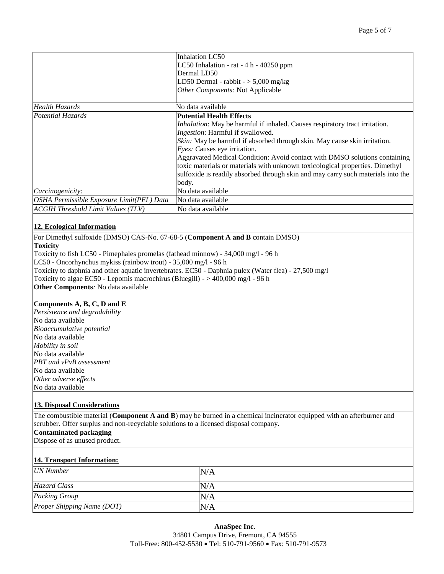|                                           | Inhalation LC50                                                                     |
|-------------------------------------------|-------------------------------------------------------------------------------------|
|                                           | LC50 Inhalation - rat $-4 h - 40250$ ppm                                            |
|                                           | Dermal LD50                                                                         |
|                                           | LD50 Dermal - rabbit $-$ > 5,000 mg/kg                                              |
|                                           | Other Components: Not Applicable                                                    |
|                                           |                                                                                     |
| Health Hazards                            | No data available                                                                   |
| Potential Hazards                         | <b>Potential Health Effects</b>                                                     |
|                                           | <i>Inhalation</i> : May be harmful if inhaled. Causes respiratory tract irritation. |
|                                           | Ingestion: Harmful if swallowed.                                                    |
|                                           | Skin: May be harmful if absorbed through skin. May cause skin irritation.           |
|                                           | <i>Eyes:</i> Causes eye irritation.                                                 |
|                                           | Aggravated Medical Condition: Avoid contact with DMSO solutions containing          |
|                                           | toxic materials or materials with unknown toxicological properties. Dimethyl        |
|                                           | sulfoxide is readily absorbed through skin and may carry such materials into the    |
|                                           | body.                                                                               |
| Carcinogenicity:                          | No data available                                                                   |
| OSHA Permissible Exposure Limit(PEL) Data | No data available                                                                   |
| <b>ACGIH Threshold Limit Values (TLV)</b> | No data available                                                                   |

#### **12. Ecological Information**

For Dimethyl sulfoxide (DMSO) CAS-No. 67-68-5 (**Component A and B** contain DMSO)

#### **Toxicity**

Toxicity to fish LC50 - Pimephales promelas (fathead minnow) - 34,000 mg/l - 96 h

LC50 - Oncorhynchus mykiss (rainbow trout) - 35,000 mg/l - 96 h

Toxicity to daphnia and other aquatic invertebrates. EC50 - Daphnia pulex (Water flea) - 27,500 mg/l

Toxicity to algae EC50 - Lepomis macrochirus (Bluegill) -  $> 400,000$  mg/l - 96 h

**Other Components***:* No data available

#### **Components A, B, C, D and E**

*Persistence and degradability* No data available *Bioaccumulative potential* No data available *Mobility in soil* No data available *PBT and vPvB assessment* No data available *Other adverse effects* No data available

#### **13. Disposal Considerations**

The combustible material (**Component A and B**) may be burned in a chemical incinerator equipped with an afterburner and scrubber. Offer surplus and non-recyclable solutions to a licensed disposal company.

#### **Contaminated packaging**

Dispose of as unused product.

#### **14. Transport Information:**

| <b>UN</b> Number           | N/A |
|----------------------------|-----|
| <b>Hazard Class</b>        | N/A |
| <b>Packing Group</b>       | N/A |
| Proper Shipping Name (DOT) | N/A |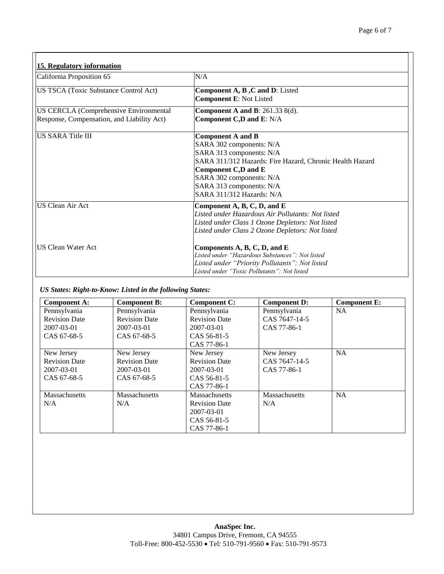| 15. Regulatory information                    |                                                                                                                                                                                                                                                          |
|-----------------------------------------------|----------------------------------------------------------------------------------------------------------------------------------------------------------------------------------------------------------------------------------------------------------|
| California Proposition 65                     | N/A                                                                                                                                                                                                                                                      |
| US TSCA (Toxic Substance Control Act)         | Component A, B, C and D: Listed<br><b>Component E: Not Listed</b>                                                                                                                                                                                        |
| <b>US CERCLA (Comprehensive Environmental</b> | Component A and B: $261.33$ 8(d).                                                                                                                                                                                                                        |
| Response, Compensation, and Liability Act)    | Component C,D and E: N/A                                                                                                                                                                                                                                 |
| <b>IUS SARA Title III</b>                     | <b>Component A and B</b><br>SARA 302 components: N/A<br>SARA 313 components: N/A<br>SARA 311/312 Hazards: Fire Hazard, Chronic Health Hazard<br>Component C,D and E<br>SARA 302 components: N/A<br>SARA 313 components: N/A<br>SARA 311/312 Hazards: N/A |
| <b>US Clean Air Act</b>                       | Component A, B, C, D, and E<br>Listed under Hazardous Air Pollutants: Not listed<br>Listed under Class 1 Ozone Depletors: Not listed<br>Listed under Class 2 Ozone Depletors: Not listed                                                                 |
| <b>US Clean Water Act</b>                     | Components A, B, C, D, and E<br>Listed under "Hazardous Substances": Not listed<br>Listed under "Priority Pollutants": Not listed<br>Listed under "Toxic Pollutants": Not listed                                                                         |

# *US States: Right-to-Know: Listed in the following States:*

| <b>Component A:</b>  | <b>Component B:</b>  | <b>Component C:</b>  | Component D:  | <b>Component E:</b> |
|----------------------|----------------------|----------------------|---------------|---------------------|
| Pennsylvania         | Pennsylvania         | Pennsylvania         | Pennsylvania  | <b>NA</b>           |
| <b>Revision Date</b> | <b>Revision Date</b> | <b>Revision Date</b> | CAS 7647-14-5 |                     |
| 2007-03-01           | 2007-03-01           | 2007-03-01           | CAS 77-86-1   |                     |
| CAS 67-68-5          | CAS 67-68-5          | CAS 56-81-5          |               |                     |
|                      |                      | CAS 77-86-1          |               |                     |
| New Jersey           | New Jersey           | New Jersey           | New Jersey    | <b>NA</b>           |
| <b>Revision Date</b> | <b>Revision Date</b> | <b>Revision Date</b> | CAS 7647-14-5 |                     |
| 2007-03-01           | 2007-03-01           | 2007-03-01           | CAS 77-86-1   |                     |
| CAS 67-68-5          | CAS 67-68-5          | CAS 56-81-5          |               |                     |
|                      |                      | CAS 77-86-1          |               |                     |
| <b>Massachusetts</b> | <b>Massachusetts</b> | <b>Massachusetts</b> | Massachusetts | <b>NA</b>           |
| N/A                  | N/A                  | <b>Revision Date</b> | N/A           |                     |
|                      |                      | 2007-03-01           |               |                     |
|                      |                      | CAS 56-81-5          |               |                     |
|                      |                      | CAS 77-86-1          |               |                     |